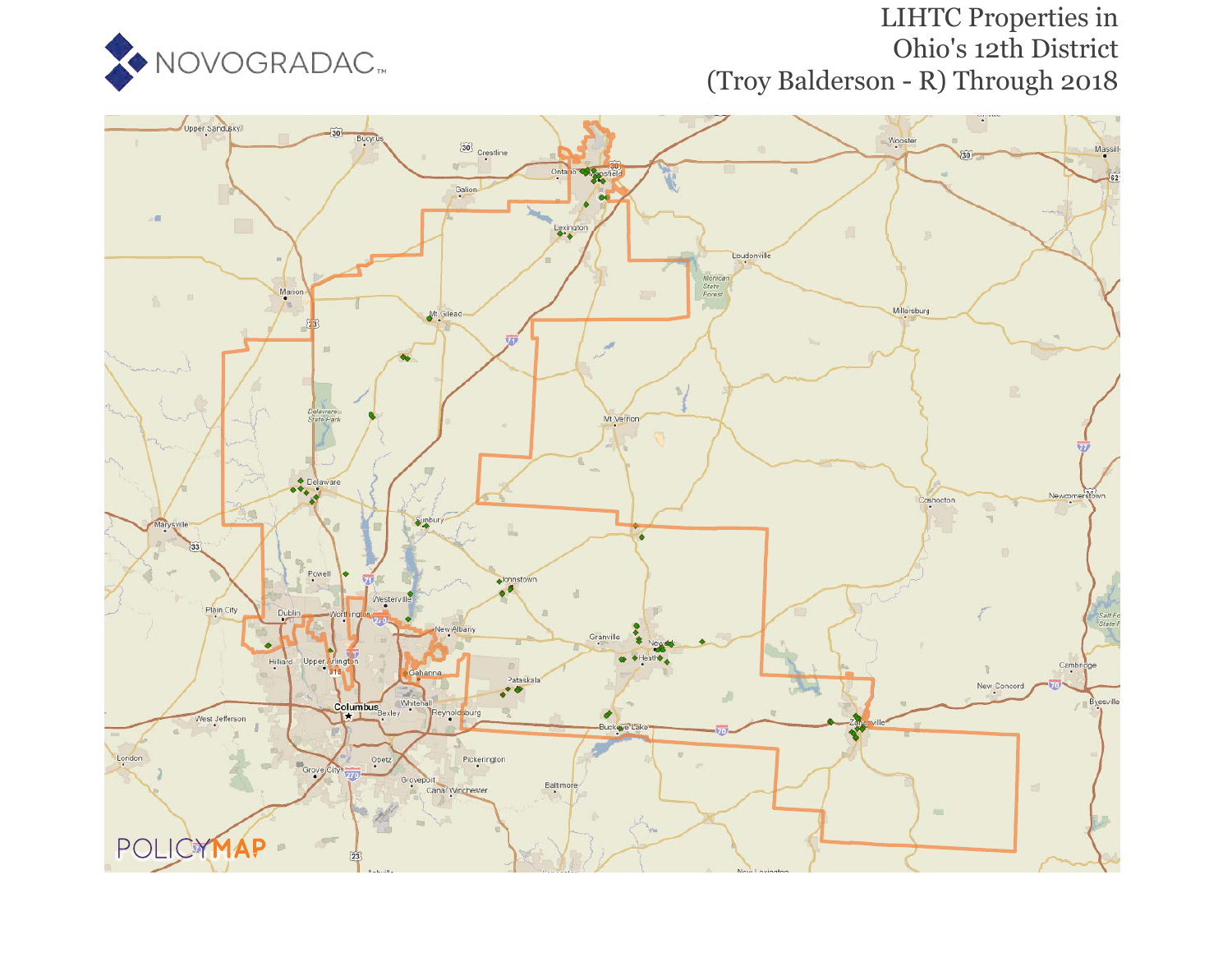

# LIHTC Properties in Ohio's 12th District (Troy Balderson - R) Through 2018

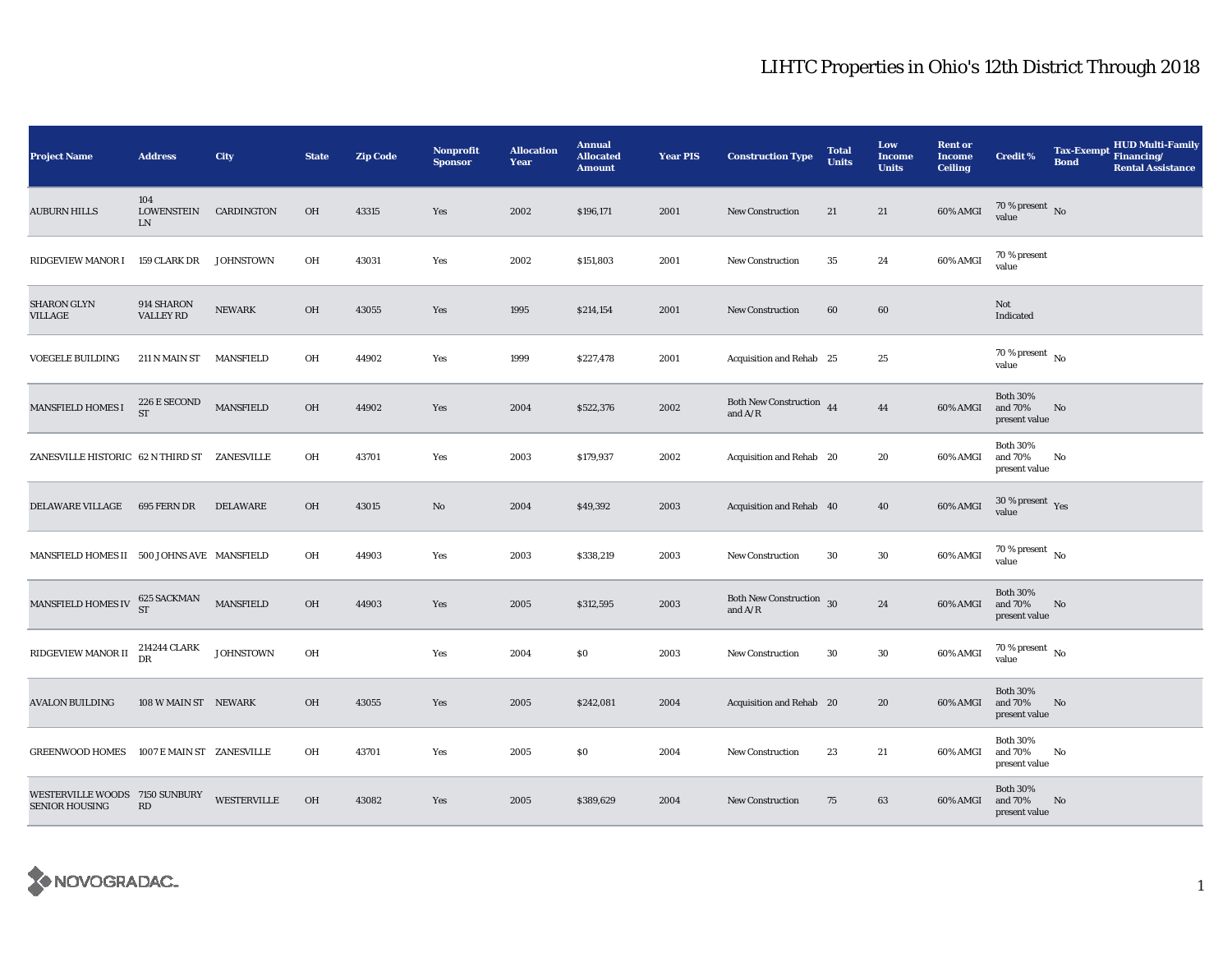| <b>Project Name</b>                                     | <b>Address</b>                 | City             | <b>State</b> | <b>Zip Code</b> | <b>Nonprofit</b><br><b>Sponsor</b> | <b>Allocation</b><br>Year | <b>Annual</b><br><b>Allocated</b><br><b>Amount</b> | <b>Year PIS</b> | <b>Construction Type</b>                  | <b>Total</b><br><b>Units</b> | Low<br><b>Income</b><br><b>Units</b> | <b>Rent or</b><br><b>Income</b><br><b>Ceiling</b> | <b>Credit %</b>                             | <b>Tax-Exempt</b><br><b>Bond</b> | HUD Multi-Family<br>Financing/<br><b>Rental Assistance</b> |
|---------------------------------------------------------|--------------------------------|------------------|--------------|-----------------|------------------------------------|---------------------------|----------------------------------------------------|-----------------|-------------------------------------------|------------------------------|--------------------------------------|---------------------------------------------------|---------------------------------------------|----------------------------------|------------------------------------------------------------|
| <b>AUBURN HILLS</b>                                     | 104<br>LOWENSTEIN<br>LN        | CARDINGTON       | <b>OH</b>    | 43315           | Yes                                | 2002                      | \$196,171                                          | 2001            | <b>New Construction</b>                   | 21                           | 21                                   | 60% AMGI                                          | 70 % present $\hbox{~No}$<br>value          |                                  |                                                            |
| <b>RIDGEVIEW MANOR I</b>                                | 159 CLARK DR                   | <b>JOHNSTOWN</b> | OH           | 43031           | Yes                                | 2002                      | \$151,803                                          | 2001            | <b>New Construction</b>                   | 35                           | 24                                   | 60% AMGI                                          | 70 % present<br>value                       |                                  |                                                            |
| <b>SHARON GLYN</b><br>VILLAGE                           | 914 SHARON<br><b>VALLEY RD</b> | <b>NEWARK</b>    | OH           | 43055           | Yes                                | 1995                      | \$214,154                                          | 2001            | <b>New Construction</b>                   | 60                           | 60                                   |                                                   | Not<br>Indicated                            |                                  |                                                            |
| <b>VOEGELE BUILDING</b>                                 | 211 N MAIN ST MANSFIELD        |                  | OH           | 44902           | Yes                                | 1999                      | \$227,478                                          | 2001            | Acquisition and Rehab 25                  |                              | 25                                   |                                                   | $70$ % present $\,$ No $\,$<br>value        |                                  |                                                            |
| <b>MANSFIELD HOMES I</b>                                | 226 E SECOND<br>ST             | <b>MANSFIELD</b> | OH           | 44902           | Yes                                | 2004                      | \$522,376                                          | 2002            | Both New Construction 44<br>and $A/R$     |                              | $\bf 44$                             | 60% AMGI                                          | <b>Both 30%</b><br>and 70%<br>present value | No                               |                                                            |
| ZANESVILLE HISTORIC 62 N THIRD ST ZANESVILLE            |                                |                  | OH           | 43701           | Yes                                | 2003                      | \$179,937                                          | 2002            | Acquisition and Rehab 20                  |                              | 20                                   | 60% AMGI                                          | <b>Both 30%</b><br>and 70%<br>present value | No                               |                                                            |
| <b>DELAWARE VILLAGE</b>                                 | 695 FERN DR                    | DELAWARE         | OH           | 43015           | No                                 | 2004                      | \$49,392                                           | 2003            | Acquisition and Rehab 40                  |                              | 40                                   | 60% AMGI                                          | $30\,\%$ present $\,$ Yes value             |                                  |                                                            |
| MANSFIELD HOMES II 500 JOHNS AVE MANSFIELD              |                                |                  | OH           | 44903           | Yes                                | 2003                      | \$338,219                                          | 2003            | New Construction                          | 30                           | 30                                   | 60% AMGI                                          | $70$ % present $\,$ No $\,$<br>value        |                                  |                                                            |
| MANSFIELD HOMES IV $^{625}_{ST}$ SACKMAN                |                                | <b>MANSFIELD</b> | OH           | 44903           | Yes                                | 2005                      | \$312,595                                          | 2003            | Both New Construction 30<br>and $\rm A/R$ |                              | $\bf 24$                             | 60% AMGI                                          | <b>Both 30%</b><br>and 70%<br>present value | N <sub>0</sub>                   |                                                            |
| RIDGEVIEW MANOR II                                      | 214244 CLARK<br>DR             | <b>JOHNSTOWN</b> | OH           |                 | Yes                                | 2004                      | \$0                                                | 2003            | New Construction                          | 30                           | 30                                   | 60% AMGI                                          | $70$ % present $\,$ No $\,$<br>value        |                                  |                                                            |
| <b>AVALON BUILDING</b>                                  | 108 W MAIN ST NEWARK           |                  | <b>OH</b>    | 43055           | Yes                                | 2005                      | \$242,081                                          | 2004            | Acquisition and Rehab 20                  |                              | 20                                   | 60% AMGI                                          | <b>Both 30%</b><br>and 70%<br>present value | No                               |                                                            |
| GREENWOOD HOMES 1007 E MAIN ST ZANESVILLE               |                                |                  | OH           | 43701           | Yes                                | 2005                      | \$0                                                | 2004            | New Construction                          | 23                           | 21                                   | 60% AMGI                                          | <b>Both 30%</b><br>and 70%<br>present value | No                               |                                                            |
| WESTERVILLE WOODS 7150 SUNBURY<br><b>SENIOR HOUSING</b> | RD                             | WESTERVILLE      | OH           | 43082           | Yes                                | 2005                      | \$389,629                                          | 2004            | <b>New Construction</b>                   | 75                           | 63                                   | 60% AMGI                                          | <b>Both 30%</b><br>and 70%<br>present value | No                               |                                                            |

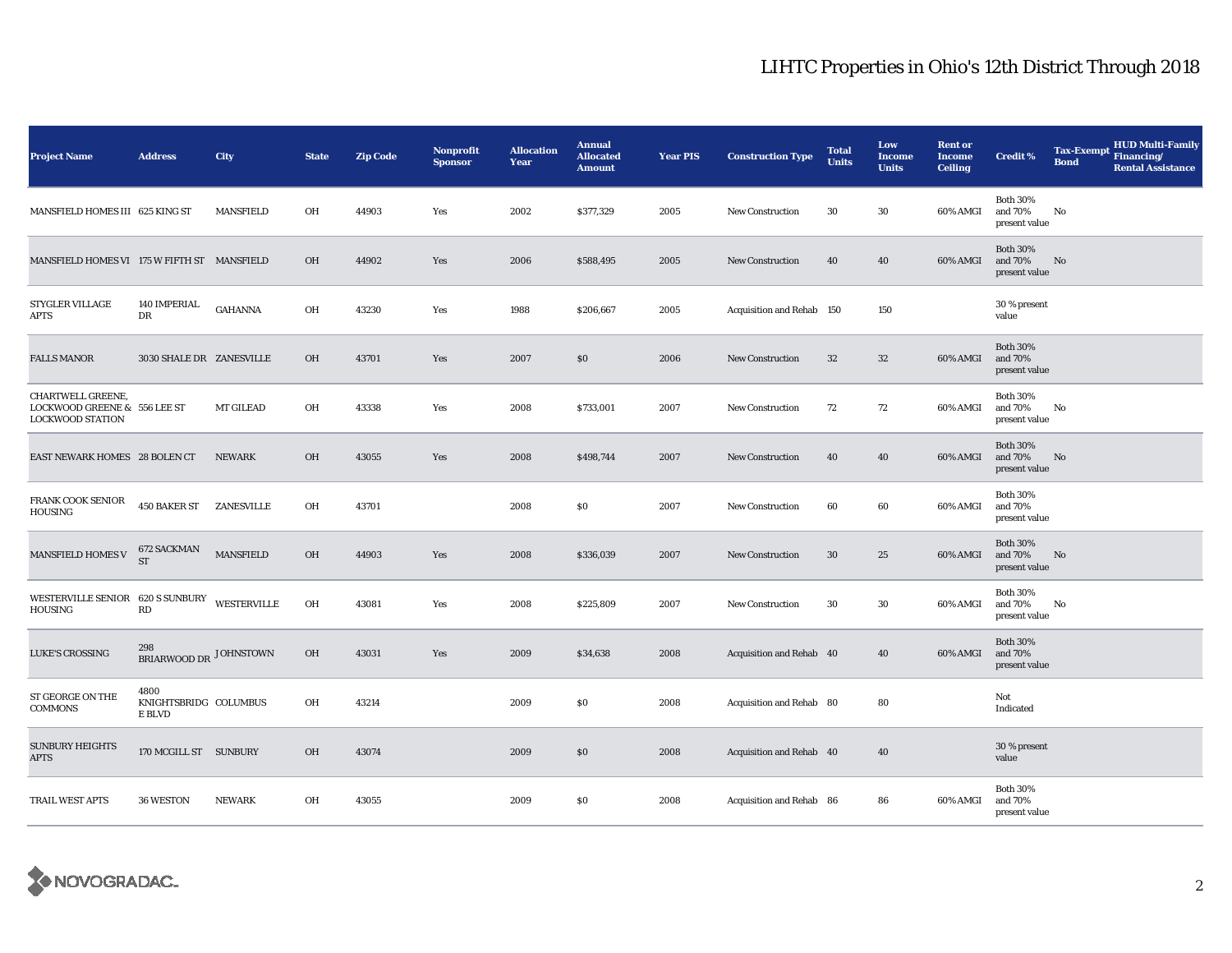| <b>Project Name</b>                                                                 | <b>Address</b>                          | City             | <b>State</b> | <b>Zip Code</b> | Nonprofit<br><b>Sponsor</b> | <b>Allocation</b><br>Year | <b>Annual</b><br><b>Allocated</b><br><b>Amount</b> | <b>Year PIS</b> | <b>Construction Type</b>  | <b>Total</b><br><b>Units</b> | Low<br><b>Income</b><br><b>Units</b> | <b>Rent or</b><br><b>Income</b><br><b>Ceiling</b> | <b>Credit %</b>                             | <b>Tax-Exempt</b><br><b>Bond</b> | <b>HUD Multi-Family</b><br>Financing/<br><b>Rental Assistance</b> |
|-------------------------------------------------------------------------------------|-----------------------------------------|------------------|--------------|-----------------|-----------------------------|---------------------------|----------------------------------------------------|-----------------|---------------------------|------------------------------|--------------------------------------|---------------------------------------------------|---------------------------------------------|----------------------------------|-------------------------------------------------------------------|
| MANSFIELD HOMES III 625 KING ST                                                     |                                         | <b>MANSFIELD</b> | OH           | 44903           | Yes                         | 2002                      | \$377,329                                          | 2005            | New Construction          | 30                           | 30                                   | 60% AMGI                                          | <b>Both 30%</b><br>and 70%<br>present value | No                               |                                                                   |
| MANSFIELD HOMES VI 175 W FIFTH ST MANSFIELD                                         |                                         |                  | <b>OH</b>    | 44902           | Yes                         | 2006                      | \$588,495                                          | 2005            | New Construction          | 40                           | 40                                   | 60% AMGI                                          | <b>Both 30%</b><br>and 70%<br>present value | No                               |                                                                   |
| <b>STYGLER VILLAGE</b><br>APTS                                                      | 140 IMPERIAL<br>DR                      | GAHANNA          | OH           | 43230           | Yes                         | 1988                      | \$206,667                                          | 2005            | Acquisition and Rehab 150 |                              | 150                                  |                                                   | 30 % present<br>value                       |                                  |                                                                   |
| <b>FALLS MANOR</b>                                                                  | 3030 SHALE DR ZANESVILLE                |                  | <b>OH</b>    | 43701           | Yes                         | 2007                      | \$0                                                | 2006            | <b>New Construction</b>   | 32                           | 32                                   | 60% AMGI                                          | <b>Both 30%</b><br>and 70%<br>present value |                                  |                                                                   |
| <b>CHARTWELL GREENE,</b><br>LOCKWOOD GREENE & 556 LEE ST<br><b>LOCKWOOD STATION</b> |                                         | MT GILEAD        | OH           | 43338           | Yes                         | 2008                      | \$733,001                                          | 2007            | <b>New Construction</b>   | 72                           | 72                                   | 60% AMGI                                          | <b>Both 30%</b><br>and 70%<br>present value | No                               |                                                                   |
| EAST NEWARK HOMES 28 BOLEN CT                                                       |                                         | <b>NEWARK</b>    | <b>OH</b>    | 43055           | Yes                         | 2008                      | \$498,744                                          | 2007            | New Construction          | 40                           | 40                                   | 60% AMGI                                          | <b>Both 30%</b><br>and 70%<br>present value | No                               |                                                                   |
| FRANK COOK SENIOR<br>HOUSING                                                        | <b>450 BAKER ST ZANESVILLE</b>          |                  | OH           | 43701           |                             | 2008                      | \$0                                                | 2007            | <b>New Construction</b>   | 60                           | 60                                   | 60% AMGI                                          | <b>Both 30%</b><br>and 70%<br>present value |                                  |                                                                   |
| <b>MANSFIELD HOMES V</b>                                                            | <b>672 SACKMAN</b><br><b>ST</b>         | <b>MANSFIELD</b> | <b>OH</b>    | 44903           | Yes                         | 2008                      | \$336,039                                          | 2007            | <b>New Construction</b>   | 30                           | 25                                   | 60% AMGI                                          | <b>Both 30%</b><br>and 70%<br>present value | No                               |                                                                   |
| WESTERVILLE SENIOR 620 S SUNBURY WESTERVILLE<br><b>HOUSING</b>                      | RD                                      |                  | OH           | 43081           | Yes                         | 2008                      | \$225,809                                          | 2007            | <b>New Construction</b>   | 30                           | 30                                   | 60% AMGI                                          | <b>Both 30%</b><br>and 70%<br>present value | No                               |                                                                   |
| LUKE'S CROSSING                                                                     | 298<br>BRIARWOOD DR JOHNSTOWN           |                  | <b>OH</b>    | 43031           | Yes                         | 2009                      | \$34,638                                           | 2008            | Acquisition and Rehab 40  |                              | 40                                   | 60% AMGI                                          | <b>Both 30%</b><br>and 70%<br>present value |                                  |                                                                   |
| ST GEORGE ON THE<br>COMMONS                                                         | 4800<br>KNIGHTSBRIDG COLUMBUS<br>E BLVD |                  | OH           | 43214           |                             | 2009                      | \$0                                                | 2008            | Acquisition and Rehab 80  |                              | 80                                   |                                                   | Not<br>Indicated                            |                                  |                                                                   |
| <b>SUNBURY HEIGHTS</b><br><b>APTS</b>                                               | 170 MCGILL ST SUNBURY                   |                  | <b>OH</b>    | 43074           |                             | 2009                      | \$0                                                | 2008            | Acquisition and Rehab 40  |                              | 40                                   |                                                   | 30 % present<br>value                       |                                  |                                                                   |
| TRAIL WEST APTS                                                                     | 36 WESTON                               | <b>NEWARK</b>    | OH           | 43055           |                             | 2009                      | \$0                                                | 2008            | Acquisition and Rehab 86  |                              | 86                                   | 60% AMGI                                          | <b>Both 30%</b><br>and 70%<br>present value |                                  |                                                                   |

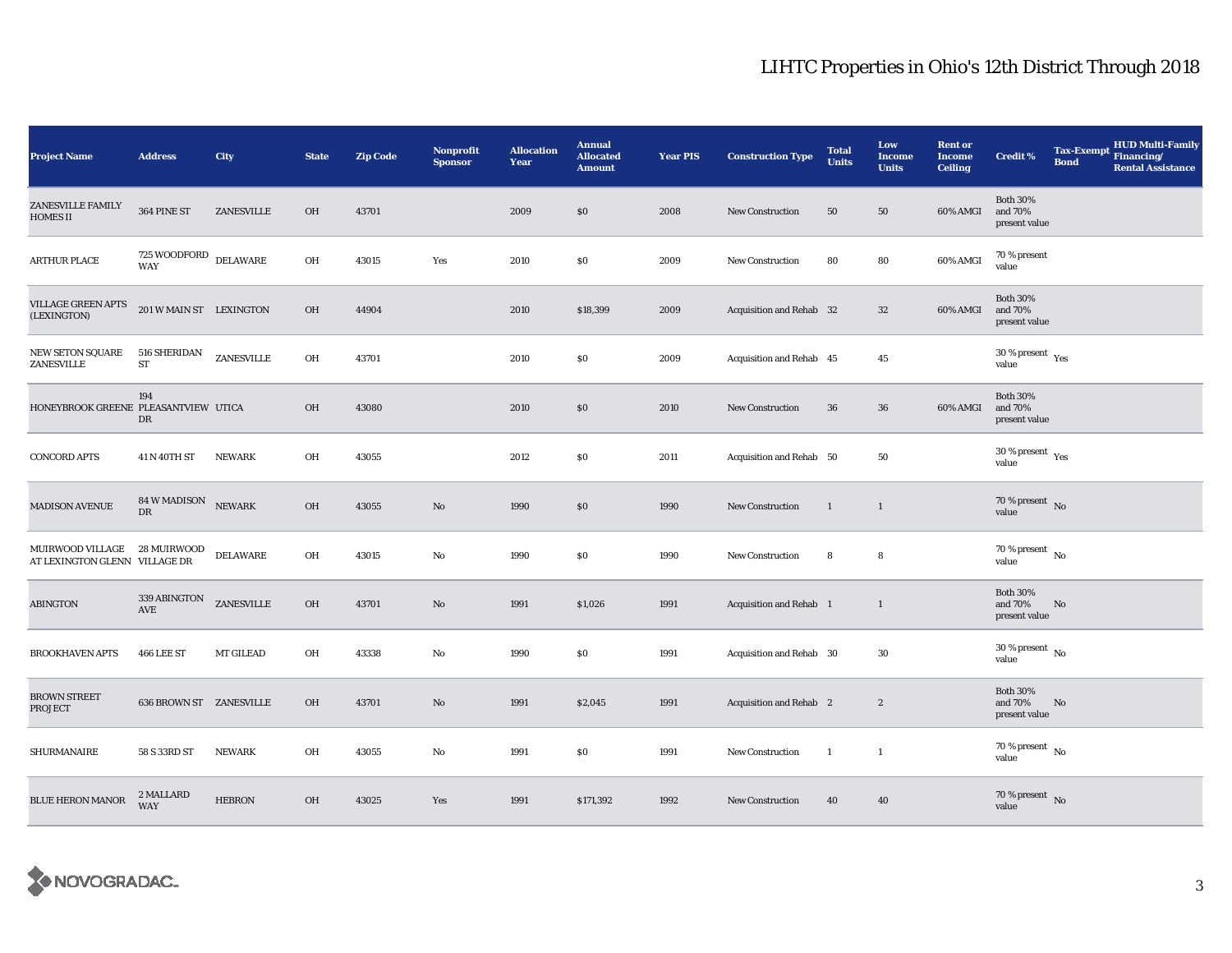| <b>Project Name</b>                                           | <b>Address</b>                               | City          | <b>State</b> | <b>Zip Code</b> | <b>Nonprofit</b><br><b>Sponsor</b> | <b>Allocation</b><br>Year | <b>Annual</b><br><b>Allocated</b><br><b>Amount</b> | <b>Year PIS</b> | <b>Construction Type</b> | <b>Total</b><br><b>Units</b> | Low<br><b>Income</b><br><b>Units</b> | <b>Rent or</b><br><b>Income</b><br><b>Ceiling</b> | <b>Credit %</b>                             | <b>Tax-Exempt</b><br><b>Bond</b> | HUD Multi-Family<br>Financing/<br><b>Rental Assistance</b> |
|---------------------------------------------------------------|----------------------------------------------|---------------|--------------|-----------------|------------------------------------|---------------------------|----------------------------------------------------|-----------------|--------------------------|------------------------------|--------------------------------------|---------------------------------------------------|---------------------------------------------|----------------------------------|------------------------------------------------------------|
| <b>ZANESVILLE FAMILY</b><br><b>HOMES II</b>                   | 364 PINE ST                                  | ZANESVILLE    | OH           | 43701           |                                    | 2009                      | \$0                                                | 2008            | <b>New Construction</b>  | 50                           | 50                                   | 60% AMGI                                          | <b>Both 30%</b><br>and 70%<br>present value |                                  |                                                            |
| <b>ARTHUR PLACE</b>                                           | $725\,$ WOODFORD $\,$ DELAWARE<br><b>WAY</b> |               | OH           | 43015           | Yes                                | 2010                      | \$0                                                | 2009            | New Construction         | 80                           | 80                                   | 60% AMGI                                          | 70 % present<br>value                       |                                  |                                                            |
| VILLAGE GREEN APTS<br>(LEXINGTON)                             | 201 W MAIN ST LEXINGTON                      |               | <b>OH</b>    | 44904           |                                    | 2010                      | \$18,399                                           | 2009            | Acquisition and Rehab 32 |                              | 32                                   | 60% AMGI                                          | <b>Both 30%</b><br>and 70%<br>present value |                                  |                                                            |
| NEW SETON SQUARE<br>ZANESVILLE                                | 516 SHERIDAN<br>${\rm ST}$                   | ZANESVILLE    | OH           | 43701           |                                    | 2010                      | \$0                                                | 2009            | Acquisition and Rehab 45 |                              | 45                                   |                                                   | $30$ % present $\,$ $\rm Yes$<br>value      |                                  |                                                            |
| HONEYBROOK GREENE PLEASANTVIEW UTICA                          | 194<br>DR                                    |               | <b>OH</b>    | 43080           |                                    | 2010                      | \$0                                                | 2010            | <b>New Construction</b>  | 36                           | 36                                   | 60% AMGI                                          | <b>Both 30%</b><br>and 70%<br>present value |                                  |                                                            |
| <b>CONCORD APTS</b>                                           | 41 N 40TH ST                                 | <b>NEWARK</b> | OH           | 43055           |                                    | 2012                      | \$0                                                | 2011            | Acquisition and Rehab 50 |                              | 50                                   |                                                   | $30$ % present $\,$ $\rm Yes$<br>value      |                                  |                                                            |
| <b>MADISON AVENUE</b>                                         | 84 W MADISON NEWARK<br>DR                    |               | OH           | 43055           | $\mathbf{N}\mathbf{o}$             | 1990                      | \$0                                                | 1990            | New Construction         | $\mathbf{1}$                 | $\mathbf{1}$                         |                                                   | 70 % present $\bar{N}$ o<br>value           |                                  |                                                            |
| MUIRWOOD VILLAGE 28 MUIRWOOD<br>AT LEXINGTON GLENN VILLAGE DR |                                              | DELAWARE      | OH           | 43015           | No                                 | 1990                      | \$0                                                | 1990            | <b>New Construction</b>  | 8                            | 8                                    |                                                   | 70 % present $\,$ No $\,$<br>value          |                                  |                                                            |
| <b>ABINGTON</b>                                               | 339 ABINGTON<br>AVE                          | ZANESVILLE    | OH           | 43701           | $\mathbf{No}$                      | 1991                      | \$1,026                                            | 1991            | Acquisition and Rehab 1  |                              | $\mathbf{1}$                         |                                                   | <b>Both 30%</b><br>and 70%<br>present value | No                               |                                                            |
| <b>BROOKHAVEN APTS</b>                                        | 466 LEE ST                                   | MT GILEAD     | OH           | 43338           | No                                 | 1990                      | \$0                                                | 1991            | Acquisition and Rehab 30 |                              | 30                                   |                                                   | $30$ % present $\,$ No $\,$<br>value        |                                  |                                                            |
| <b>BROWN STREET</b><br>PROJECT                                | <b>636 BROWN ST ZANESVILLE</b>               |               | <b>OH</b>    | 43701           | $\mathbf{N}\mathbf{o}$             | 1991                      | \$2,045                                            | 1991            | Acquisition and Rehab 2  |                              | $\boldsymbol{2}$                     |                                                   | <b>Both 30%</b><br>and 70%<br>present value | No                               |                                                            |
| SHURMANAIRE                                                   | 58 S 33RD ST                                 | NEWARK        | OH           | 43055           | No                                 | 1991                      | \$0                                                | 1991            | <b>New Construction</b>  | <sup>1</sup>                 | -1                                   |                                                   | $70$ % present $\,$ No $\,$<br>value        |                                  |                                                            |
| <b>BLUE HERON MANOR</b>                                       | 2 MALLARD<br><b>WAY</b>                      | <b>HEBRON</b> | <b>OH</b>    | 43025           | Yes                                | 1991                      | \$171,392                                          | 1992            | <b>New Construction</b>  | 40                           | 40                                   |                                                   | 70 % present $\,$ No $\,$<br>value          |                                  |                                                            |

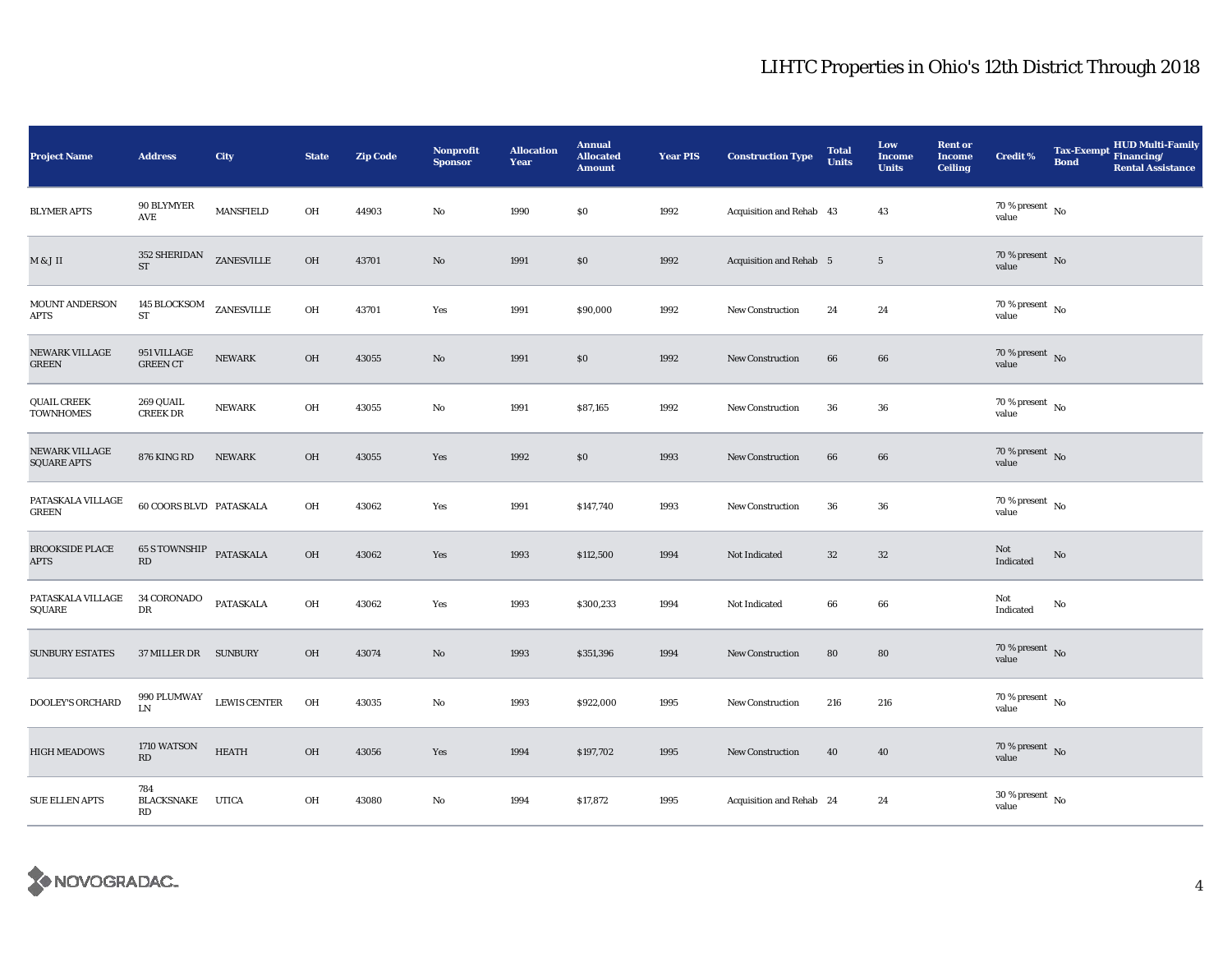| <b>Project Name</b>                    | <b>Address</b>                                           | City             | <b>State</b> | Zip Code | <b>Nonprofit</b><br><b>Sponsor</b> | <b>Allocation</b><br>Year | <b>Annual</b><br><b>Allocated</b><br><b>Amount</b> | <b>Year PIS</b> | <b>Construction Type</b>       | <b>Total</b><br><b>Units</b> | Low<br><b>Income</b><br><b>Units</b> | <b>Rent or</b><br><b>Income</b><br><b>Ceiling</b> | <b>Credit %</b>                      | <b>Bond</b> | <b>HUD Multi-Family</b><br>Tax-Exempt Financing/<br><b>Rental Assistance</b> |
|----------------------------------------|----------------------------------------------------------|------------------|--------------|----------|------------------------------------|---------------------------|----------------------------------------------------|-----------------|--------------------------------|------------------------------|--------------------------------------|---------------------------------------------------|--------------------------------------|-------------|------------------------------------------------------------------------------|
| <b>BLYMER APTS</b>                     | 90 BLYMYER<br>AVE                                        | <b>MANSFIELD</b> | OH           | 44903    | $\mathbf{No}$                      | 1990                      | $\$0$                                              | 1992            | Acquisition and Rehab 43       |                              | 43                                   |                                                   | $70$ % present $$\rm{No}$$ value     |             |                                                                              |
| $M \& J$ II                            | 352 SHERIDAN<br>ST                                       | ZANESVILLE       | OH           | 43701    | $\mathbf{No}$                      | 1991                      | $\$0$                                              | 1992            | <b>Acquisition and Rehab 5</b> |                              | $\sqrt{5}$                           |                                                   | $70$ % present $\,$ No value         |             |                                                                              |
| MOUNT ANDERSON<br><b>APTS</b>          | 145 BLOCKSOM<br>${\rm ST}$                               | ZANESVILLE       | OH           | 43701    | Yes                                | 1991                      | \$90,000                                           | 1992            | <b>New Construction</b>        | 24                           | 24                                   |                                                   | $70$ % present $\,$ No $\,$<br>value |             |                                                                              |
| NEWARK VILLAGE<br><b>GREEN</b>         | 951 VILLAGE<br><b>GREEN CT</b>                           | <b>NEWARK</b>    | OH           | 43055    | No                                 | 1991                      | \$0                                                | 1992            | <b>New Construction</b>        | 66                           | 66                                   |                                                   | $70$ % present $\,$ No value         |             |                                                                              |
| <b>QUAIL CREEK</b><br><b>TOWNHOMES</b> | 269 QUAIL<br><b>CREEK DR</b>                             | <b>NEWARK</b>    | OH           | 43055    | No                                 | 1991                      | \$87,165                                           | 1992            | <b>New Construction</b>        | 36                           | 36                                   |                                                   | $70\,\%$ present $\,$ No value       |             |                                                                              |
| NEWARK VILLAGE<br><b>SQUARE APTS</b>   | 876 KING RD                                              | <b>NEWARK</b>    | OH           | 43055    | Yes                                | 1992                      | \$0                                                | 1993            | <b>New Construction</b>        | 66                           | 66                                   |                                                   | $70\,\%$ present $\,$ No value       |             |                                                                              |
| PATASKALA VILLAGE<br><b>GREEN</b>      | 60 COORS BLVD PATASKALA                                  |                  | OH           | 43062    | Yes                                | 1991                      | \$147,740                                          | 1993            | <b>New Construction</b>        | 36                           | 36                                   |                                                   | 70 % present $\hbox{~No}$<br>value   |             |                                                                              |
| <b>BROOKSIDE PLACE</b><br><b>APTS</b>  | <b>65 S TOWNSHIP PATASKALA</b><br>$\mathbf{R}\mathbf{D}$ |                  | OH           | 43062    | Yes                                | 1993                      | \$112,500                                          | 1994            | Not Indicated                  | $32\,$                       | $32\,$                               |                                                   | Not<br>Indicated                     | No          |                                                                              |
| PATASKALA VILLAGE<br>SQUARE            | 34 CORONADO<br>DR                                        | PATASKALA        | OH           | 43062    | Yes                                | 1993                      | \$300,233                                          | 1994            | Not Indicated                  | 66                           | 66                                   |                                                   | Not<br>Indicated                     | No          |                                                                              |
| <b>SUNBURY ESTATES</b>                 | 37 MILLER DR SUNBURY                                     |                  | OH           | 43074    | No                                 | 1993                      | \$351,396                                          | 1994            | <b>New Construction</b>        | 80                           | 80                                   |                                                   | $70\,\%$ present $\,$ No value       |             |                                                                              |
| DOOLEY'S ORCHARD                       | 990 PLUMWAY<br>${\rm LN}$                                | LEWIS CENTER     | OH           | 43035    | No                                 | 1993                      | \$922,000                                          | 1995            | <b>New Construction</b>        | 216                          | 216                                  |                                                   | $70\,\%$ present $\,$ No value       |             |                                                                              |
| <b>HIGH MEADOWS</b>                    | 1710 WATSON<br>RD                                        | <b>HEATH</b>     | OH           | 43056    | Yes                                | 1994                      | \$197,702                                          | 1995            | <b>New Construction</b>        | 40                           | 40                                   |                                                   | $70\,\%$ present $\,$ No value       |             |                                                                              |
| <b>SUE ELLEN APTS</b>                  | 784<br><b>BLACKSNAKE</b><br>RD                           | <b>UTICA</b>     | OH           | 43080    | No                                 | 1994                      | \$17,872                                           | 1995            | Acquisition and Rehab 24       |                              | 24                                   |                                                   | $30$ % present $\,$ No value         |             |                                                                              |

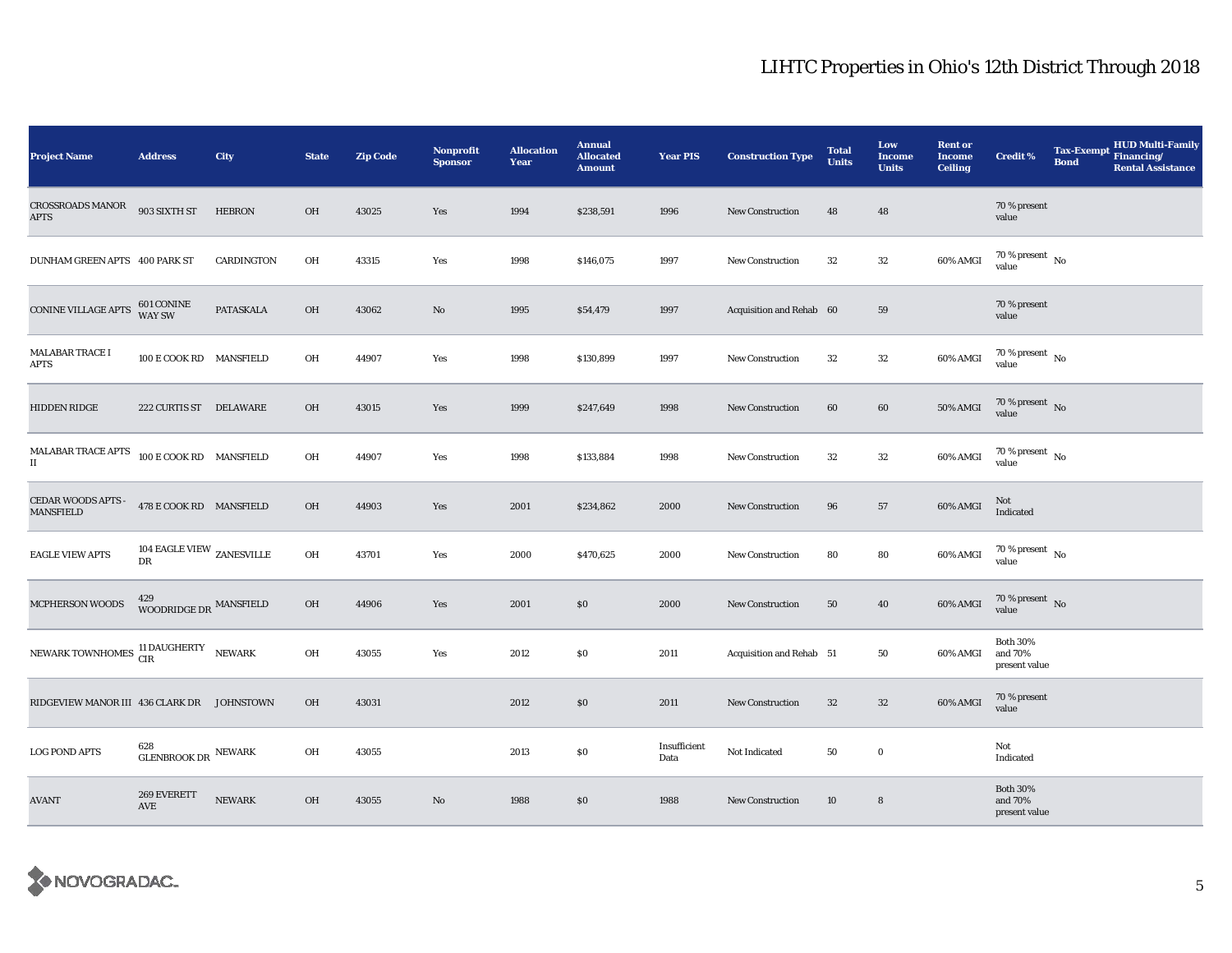| <b>Project Name</b>                                         | <b>Address</b>                                  | <b>City</b>   | <b>State</b> | <b>Zip Code</b> | <b>Nonprofit</b><br><b>Sponsor</b> | <b>Allocation</b><br>Year | <b>Annual</b><br><b>Allocated</b><br><b>Amount</b> | <b>Year PIS</b>      | <b>Construction Type</b> | <b>Total</b><br><b>Units</b> | Low<br><b>Income</b><br><b>Units</b> | <b>Rent or</b><br><b>Income</b><br><b>Ceiling</b> | <b>Credit %</b>                             | <b>Tax-Exempt</b><br><b>Bond</b> | HUD Multi-Family<br>Financing/<br><b>Rental Assistance</b> |
|-------------------------------------------------------------|-------------------------------------------------|---------------|--------------|-----------------|------------------------------------|---------------------------|----------------------------------------------------|----------------------|--------------------------|------------------------------|--------------------------------------|---------------------------------------------------|---------------------------------------------|----------------------------------|------------------------------------------------------------|
| <b>CROSSROADS MANOR</b><br><b>APTS</b>                      | 903 SIXTH ST                                    | <b>HEBRON</b> | OH           | 43025           | Yes                                | 1994                      | \$238,591                                          | 1996                 | <b>New Construction</b>  | 48                           | 48                                   |                                                   | 70 % present<br>value                       |                                  |                                                            |
| DUNHAM GREEN APTS 400 PARK ST                               |                                                 | CARDINGTON    | OH           | 43315           | Yes                                | 1998                      | \$146,075                                          | 1997                 | New Construction         | 32                           | 32                                   | 60% AMGI                                          | 70 % present $\,$ No $\,$<br>value          |                                  |                                                            |
| CONINE VILLAGE APTS                                         | 601 CONINE<br>WAY SW                            | PATASKALA     | OH           | 43062           | No                                 | 1995                      | \$54,479                                           | 1997                 | Acquisition and Rehab 60 |                              | 59                                   |                                                   | 70 % present<br>value                       |                                  |                                                            |
| MALABAR TRACE I<br>APTS                                     | 100 E COOK RD MANSFIELD                         |               | OH           | 44907           | Yes                                | 1998                      | \$130,899                                          | 1997                 | New Construction         | 32                           | 32                                   | 60% AMGI                                          | 70 % present $\hbox{~No}$<br>value          |                                  |                                                            |
| <b>HIDDEN RIDGE</b>                                         | 222 CURTIS ST DELAWARE                          |               | OH           | 43015           | Yes                                | 1999                      | \$247,649                                          | 1998                 | <b>New Construction</b>  | 60                           | 60                                   | 50% AMGI                                          | $70\,\%$ present $\,$ No value              |                                  |                                                            |
| $\operatorname{MALABAR}$ TRACE APTS<br>$\scriptstyle\rm II$ | 100 E COOK RD MANSFIELD                         |               | OH           | 44907           | Yes                                | 1998                      | \$133,884                                          | 1998                 | New Construction         | 32                           | 32                                   | 60% AMGI                                          | $70$ % present $_{\, \rm No}$<br>value      |                                  |                                                            |
| CEDAR WOODS APTS -<br><b>MANSFIELD</b>                      | 478 E COOK RD MANSFIELD                         |               | OH           | 44903           | Yes                                | 2001                      | \$234,862                                          | 2000                 | <b>New Construction</b>  | 96                           | 57                                   | 60% AMGI                                          | Not<br>Indicated                            |                                  |                                                            |
| <b>EAGLE VIEW APTS</b>                                      | 104 EAGLE VIEW $_{\rm ZANESVILLE}$<br><b>DR</b> |               | OH           | 43701           | Yes                                | 2000                      | \$470,625                                          | 2000                 | <b>New Construction</b>  | 80                           | 80                                   | 60% AMGI                                          | $70$ % present $\,$ No $\,$<br>value        |                                  |                                                            |
| MCPHERSON WOODS                                             | WOODRIDGE DR $\,$ MANSFIELD                     |               | OH           | 44906           | Yes                                | 2001                      | \$0                                                | 2000                 | New Construction         | 50                           | 40                                   | 60% AMGI                                          | $70$ % present $\,$ No value                |                                  |                                                            |
| NEWARK TOWNHOMES 11 DAUGHERTY NEWARK                        |                                                 |               | OH           | 43055           | Yes                                | 2012                      | \$0                                                | 2011                 | Acquisition and Rehab 51 |                              | 50                                   | 60% AMGI                                          | <b>Both 30%</b><br>and 70%<br>present value |                                  |                                                            |
| RIDGEVIEW MANOR III 436 CLARK DR JOHNSTOWN                  |                                                 |               | OH           | 43031           |                                    | 2012                      | \$0                                                | 2011                 | New Construction         | $32\,$                       | $32\,$                               | 60% AMGI                                          | 70 % present<br>value                       |                                  |                                                            |
| <b>LOG POND APTS</b>                                        | 628<br>GLENBROOK DR $\,$ NEWARK                 |               | OH           | 43055           |                                    | 2013                      | \$0                                                | Insufficient<br>Data | Not Indicated            | 50                           | $\mathbf 0$                          |                                                   | Not<br>Indicated                            |                                  |                                                            |
| AVANT                                                       | 269 EVERETT<br>AVE                              | <b>NEWARK</b> | OH           | 43055           | No                                 | 1988                      | \$0                                                | 1988                 | <b>New Construction</b>  | 10                           | 8                                    |                                                   | <b>Both 30%</b><br>and 70%<br>present value |                                  |                                                            |

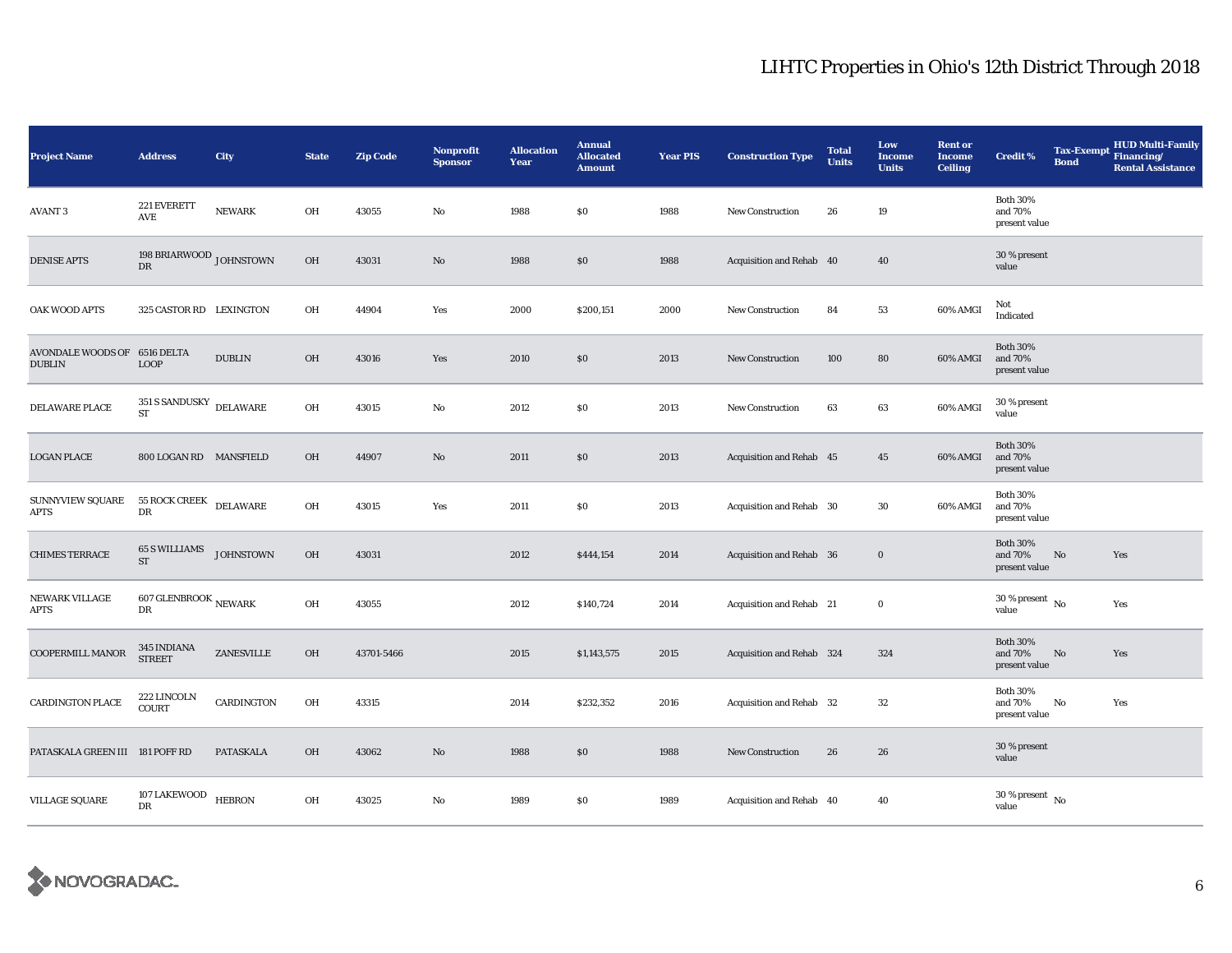| <b>Project Name</b>                           | <b>Address</b>                        | City             | <b>State</b> | <b>Zip Code</b> | <b>Nonprofit</b><br><b>Sponsor</b> | <b>Allocation</b><br>Year | <b>Annual</b><br><b>Allocated</b><br><b>Amount</b> | <b>Year PIS</b> | <b>Construction Type</b>  | <b>Total</b><br><b>Units</b> | Low<br><b>Income</b><br><b>Units</b> | <b>Rent or</b><br><b>Income</b><br><b>Ceiling</b> | <b>Credit %</b>                             | <b>Tax-Exempt</b><br><b>Bond</b> | <b>HUD Multi-Family</b><br>Financing/<br><b>Rental Assistance</b> |
|-----------------------------------------------|---------------------------------------|------------------|--------------|-----------------|------------------------------------|---------------------------|----------------------------------------------------|-----------------|---------------------------|------------------------------|--------------------------------------|---------------------------------------------------|---------------------------------------------|----------------------------------|-------------------------------------------------------------------|
| <b>AVANT 3</b>                                | 221 EVERETT<br>AVE                    | <b>NEWARK</b>    | OH           | 43055           | $_{\rm No}$                        | 1988                      | \$0                                                | 1988            | New Construction          | 26                           | 19                                   |                                                   | <b>Both 30%</b><br>and 70%<br>present value |                                  |                                                                   |
| <b>DENISE APTS</b>                            | 198 BRIARWOOD JOHNSTOWN<br>${\rm DR}$ |                  | OH           | 43031           | $\rm No$                           | 1988                      | \$0                                                | 1988            | Acquisition and Rehab 40  |                              | 40                                   |                                                   | 30 % present<br>value                       |                                  |                                                                   |
| OAK WOOD APTS                                 | 325 CASTOR RD LEXINGTON               |                  | OH           | 44904           | Yes                                | 2000                      | \$200,151                                          | 2000            | <b>New Construction</b>   | 84                           | 53                                   | 60% AMGI                                          | Not<br>Indicated                            |                                  |                                                                   |
| AVONDALE WOODS OF 6516 DELTA<br><b>DUBLIN</b> | <b>LOOP</b>                           | <b>DUBLIN</b>    | <b>OH</b>    | 43016           | Yes                                | 2010                      | \$0                                                | 2013            | <b>New Construction</b>   | 100                          | 80                                   | 60% AMGI                                          | <b>Both 30%</b><br>and 70%<br>present value |                                  |                                                                   |
| DELAWARE PLACE                                | 351 S SANDUSKY DELAWARE<br>${\rm ST}$ |                  | OH           | 43015           | $\rm No$                           | 2012                      | \$0                                                | 2013            | <b>New Construction</b>   | 63                           | 63                                   | 60% AMGI                                          | 30 % present<br>value                       |                                  |                                                                   |
| <b>LOGAN PLACE</b>                            | 800 LOGAN RD MANSFIELD                |                  | OH           | 44907           | $\rm No$                           | 2011                      | \$0                                                | 2013            | Acquisition and Rehab 45  |                              | 45                                   | 60% AMGI                                          | <b>Both 30%</b><br>and 70%<br>present value |                                  |                                                                   |
| <b>SUNNYVIEW SQUARE</b><br>APTS               | <b>55 ROCK CREEK</b><br>DR            | DELAWARE         | OH           | 43015           | Yes                                | 2011                      | \$0                                                | 2013            | Acquisition and Rehab 30  |                              | 30                                   | 60% AMGI                                          | <b>Both 30%</b><br>and 70%<br>present value |                                  |                                                                   |
| <b>CHIMES TERRACE</b>                         | <b>65 S WILLIAMS</b><br><b>ST</b>     | <b>JOHNSTOWN</b> | OH           | 43031           |                                    | 2012                      | \$444,154                                          | 2014            | Acquisition and Rehab 36  |                              | $\mathbf 0$                          |                                                   | <b>Both 30%</b><br>and 70%<br>present value | No                               | Yes                                                               |
| NEWARK VILLAGE<br>APTS                        | 607 GLENBROOK $_{\rm NEWARK}$<br>DR   |                  | OH           | 43055           |                                    | 2012                      | \$140,724                                          | 2014            | Acquisition and Rehab 21  |                              | $\bf{0}$                             |                                                   | $30$ % present $\,$ No $\,$<br>value        |                                  | Yes                                                               |
| COOPERMILL MANOR                              | <b>345 INDIANA</b><br><b>STREET</b>   | ZANESVILLE       | OH           | 43701-5466      |                                    | 2015                      | \$1,143,575                                        | 2015            | Acquisition and Rehab 324 |                              | 324                                  |                                                   | <b>Both 30%</b><br>and 70%<br>present value | $\rm No$                         | Yes                                                               |
| <b>CARDINGTON PLACE</b>                       | 222 LINCOLN<br><b>COURT</b>           | CARDINGTON       | OH           | 43315           |                                    | 2014                      | \$232,352                                          | 2016            | Acquisition and Rehab 32  |                              | 32                                   |                                                   | <b>Both 30%</b><br>and 70%<br>present value | No                               | Yes                                                               |
| PATASKALA GREEN III 181 POFF RD               |                                       | PATASKALA        | OH           | 43062           | No                                 | 1988                      | \$0                                                | 1988            | <b>New Construction</b>   | 26                           | 26                                   |                                                   | 30 % present<br>value                       |                                  |                                                                   |
| <b>VILLAGE SQUARE</b>                         | 107 LAKEWOOD<br>DR                    | <b>HEBRON</b>    | OH           | 43025           | No                                 | 1989                      | \$0                                                | 1989            | Acquisition and Rehab 40  |                              | 40                                   |                                                   | $30~\%$ present $~$ No value                |                                  |                                                                   |